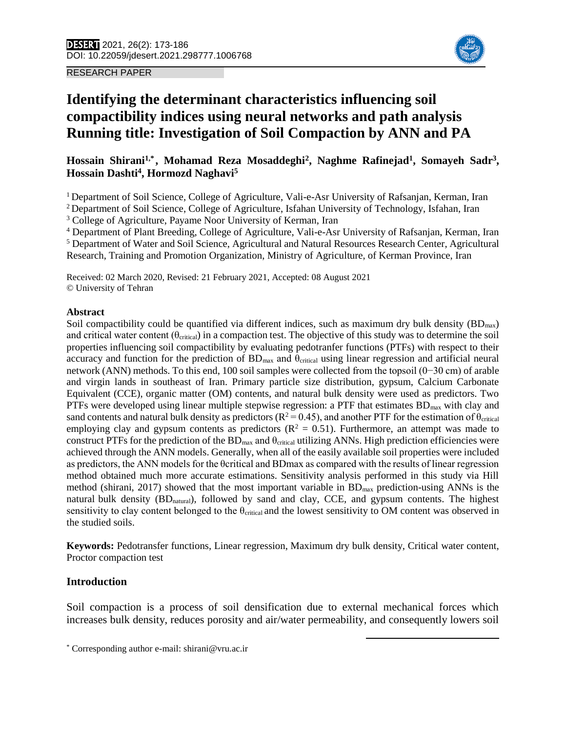RESEARCH PAPER



# **Identifying the determinant characteristics influencing soil compactibility indices using neural networks and path analysis Running title: Investigation of Soil Compaction by ANN and PA**

# **Hossain Shirani1,\***1**, Mohamad Reza Mosaddeghi<sup>2</sup> , Naghme Rafinejad<sup>1</sup> , Somayeh Sadr<sup>3</sup> , Hossain Dashti<sup>4</sup> , Hormozd Naghavi<sup>5</sup>**

<sup>1</sup> Department of Soil Science, College of Agriculture, Vali-e-Asr University of Rafsanjan, Kerman, Iran

<sup>2</sup> Department of Soil Science, College of Agriculture, Isfahan University of Technology, Isfahan, Iran

<sup>3</sup> College of Agriculture, Payame Noor University of Kerman, Iran

<sup>4</sup> Department of Plant Breeding, College of Agriculture, Vali-e-Asr University of Rafsanjan, Kerman, Iran <sup>5</sup> Department of Water and Soil Science, Agricultural and Natural Resources Research Center, Agricultural Research, Training and Promotion Organization, Ministry of Agriculture, of Kerman Province, Iran

Received: 02 March 2020, Revised: 21 February 2021, Accepted: 08 August 2021 © University of Tehran

### **Abstract**

Soil compactibility could be quantified via different indices, such as maximum dry bulk density  $(BD_{max})$ and critical water content ( $\theta_{critical}$ ) in a compaction test. The objective of this study was to determine the soil properties influencing soil compactibility by evaluating pedotranfer functions (PTFs) with respect to their accuracy and function for the prediction of  $BD_{max}$  and  $\theta_{critical}$  using linear regression and artificial neural network (ANN) methods. To this end, 100 soil samples were collected from the topsoil (0−30 cm) of arable and virgin lands in southeast of Iran. Primary particle size distribution, gypsum, Calcium Carbonate Equivalent (CCE), organic matter (OM) contents, and natural bulk density were used as predictors. Two PTFs were developed using linear multiple stepwise regression: a PTF that estimates  $BD_{max}$  with clay and sand contents and natural bulk density as predictors ( $R^2 = 0.45$ ), and another PTF for the estimation of  $\theta_{critical}$ employing clay and gypsum contents as predictors ( $R^2 = 0.51$ ). Furthermore, an attempt was made to construct PTFs for the prediction of the BD<sub>max</sub> and θ<sub>critical</sub> utilizing ANNs. High prediction efficiencies were achieved through the ANN models. Generally, when all of the easily available soil properties were included as predictors, the ANN models for the θcritical and BDmax as compared with the results of linear regression method obtained much more accurate estimations. Sensitivity analysis performed in this study via Hill method (shirani, 2017) showed that the most important variable in BD<sub>max</sub> prediction-using ANNs is the natural bulk density (BD<sub>natural</sub>), followed by sand and clay, CCE, and gypsum contents. The highest sensitivity to clay content belonged to the  $\theta_{critical}$  and the lowest sensitivity to OM content was observed in the studied soils.

**Keywords:** Pedotransfer functions, Linear regression, Maximum dry bulk density, Critical water content, Proctor compaction test

# **Introduction**

Soil compaction is a process of soil densification due to external mechanical forces which increases bulk density, reduces porosity and air/water permeability, and consequently lowers soil

 $\overline{a}$ 

<sup>\*</sup> Corresponding author e-mail: shirani@vru.ac.ir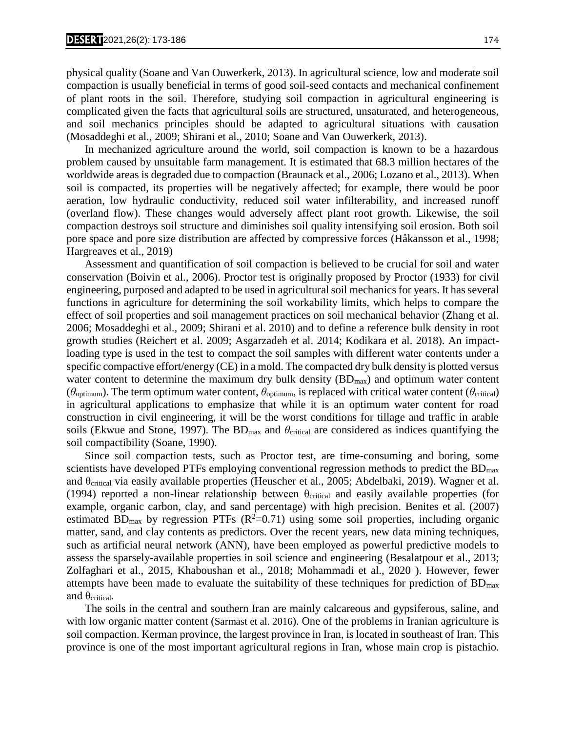physical quality (Soane and Van Ouwerkerk, 2013). In agricultural science, low and moderate soil compaction is usually beneficial in terms of good soil-seed contacts and mechanical confinement of plant roots in the soil. Therefore, studying soil compaction in agricultural engineering is complicated given the facts that agricultural soils are structured, unsaturated, and heterogeneous, and soil mechanics principles should be adapted to agricultural situations with causation (Mosaddeghi et al., 2009; Shirani et al., 2010; Soane and Van Ouwerkerk, 2013).

In mechanized agriculture around the world, soil compaction is known to be a hazardous problem caused by unsuitable farm management. It is estimated that 68.3 million hectares of the worldwide areas is degraded due to compaction (Braunack et al., 2006; Lozano et al., 2013). When soil is compacted, its properties will be negatively affected; for example, there would be poor aeration, low hydraulic conductivity, reduced soil water infilterability, and increased runoff (overland flow). These changes would adversely affect plant root growth. Likewise, the soil compaction destroys soil structure and diminishes soil quality intensifying soil erosion. Both soil pore space and pore size distribution are affected by compressive forces (Håkansson et al., 1998; Hargreaves et al., 2019)

Assessment and quantification of soil compaction is believed to be crucial for soil and water conservation (Boivin et al., 2006). Proctor test is originally proposed by Proctor (1933) for civil engineering, purposed and adapted to be used in agricultural soil mechanics for years. It has several functions in agriculture for determining the soil workability limits, which helps to compare the effect of soil properties and soil management practices on soil mechanical behavior (Zhang et al. 2006; Mosaddeghi et al., 2009; Shirani et al. 2010) and to define a reference bulk density in root growth studies (Reichert et al. 2009; Asgarzadeh et al. 2014; Kodikara et al. 2018). An impactloading type is used in the test to compact the soil samples with different water contents under a specific compactive effort/energy (CE) in a mold. The compacted dry bulk density is plotted versus water content to determine the maximum dry bulk density  $(BD_{max})$  and optimum water content ( $\theta_{\text{optimum}}$ ). The term optimum water content,  $\theta_{\text{optimum}}$ , is replaced with critical water content ( $\theta_{\text{critical}}$ ) in agricultural applications to emphasize that while it is an optimum water content for road construction in civil engineering, it will be the worst conditions for tillage and traffic in arable soils (Ekwue and Stone, 1997). The BDmax and *θ*critical are considered as indices quantifying the soil compactibility (Soane, 1990).

Since soil compaction tests, such as Proctor test, are time-consuming and boring, some scientists have developed PTFs employing conventional regression methods to predict the  $BD_{\text{max}}$ and θcritical via easily available properties (Heuscher et al., 2005; Abdelbaki, 2019). Wagner et al. (1994) reported a non-linear relationship between  $\theta_{critical}$  and easily available properties (for example, organic carbon, clay, and sand percentage) with high precision. Benites et al. (2007) estimated BD<sub>max</sub> by regression PTFs ( $R^2$ =0.71) using some soil properties, including organic matter, sand, and clay contents as predictors. Over the recent years, new data mining techniques, such as artificial neural network (ANN), have been employed as powerful predictive models to assess the sparsely-available properties in soil science and engineering (Besalatpour et al., 2013; Zolfaghari et al., 2015, Khaboushan et al., 2018; Mohammadi et al., 2020 ). However, fewer attempts have been made to evaluate the suitability of these techniques for prediction of  $BD_{\text{max}}$ and  $\theta$ critical.

The soils in the central and southern Iran are mainly calcareous and gypsiferous, saline, and with low organic matter content (Sarmast et al. 2016). One of the problems in Iranian agriculture is soil compaction. Kerman province, the largest province in Iran, is located in southeast of Iran. This province is one of the most important agricultural regions in Iran, whose main crop is pistachio.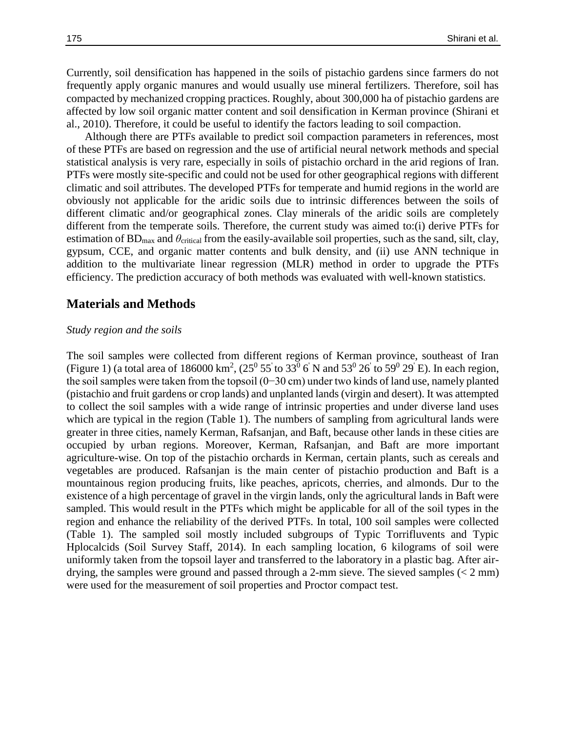Currently, soil densification has happened in the soils of pistachio gardens since farmers do not frequently apply organic manures and would usually use mineral fertilizers. Therefore, soil has compacted by mechanized cropping practices. Roughly, about 300,000 ha of pistachio gardens are affected by low soil organic matter content and soil densification in Kerman province (Shirani et al., 2010). Therefore, it could be useful to identify the factors leading to soil compaction.

Although there are PTFs available to predict soil compaction parameters in references, most of these PTFs are based on regression and the use of artificial neural network methods and special statistical analysis is very rare, especially in soils of pistachio orchard in the arid regions of Iran. PTFs were mostly site-specific and could not be used for other geographical regions with different climatic and soil attributes. The developed PTFs for temperate and humid regions in the world are obviously not applicable for the aridic soils due to intrinsic differences between the soils of different climatic and/or geographical zones. Clay minerals of the aridic soils are completely different from the temperate soils. Therefore, the current study was aimed to:(i) derive PTFs for estimation of  $BD_{\text{max}}$  and  $\theta_{\text{critical}}$  from the easily-available soil properties, such as the sand, silt, clay, gypsum, CCE, and organic matter contents and bulk density, and (ii) use ANN technique in addition to the multivariate linear regression (MLR) method in order to upgrade the PTFs efficiency. The prediction accuracy of both methods was evaluated with well-known statistics.

# **Materials and Methods**

### *Study region and the soils*

The soil samples were collected from different regions of Kerman province, southeast of Iran (Figure 1) (a total area of 186000 km<sup>2</sup>,  $(25^0 55)$  to  $33^0 6$  N and  $53^0 26$  to  $59^0 29$  E). In each region, the soil samples were taken from the topsoil (0−30 cm) under two kinds of land use, namely planted (pistachio and fruit gardens or crop lands) and unplanted lands (virgin and desert). It was attempted to collect the soil samples with a wide range of intrinsic properties and under diverse land uses which are typical in the region (Table 1). The numbers of sampling from agricultural lands were greater in three cities, namely Kerman, Rafsanjan, and Baft, because other lands in these cities are occupied by urban regions. Moreover, Kerman, Rafsanjan, and Baft are more important agriculture-wise. On top of the pistachio orchards in Kerman, certain plants, such as cereals and vegetables are produced. Rafsanjan is the main center of pistachio production and Baft is a mountainous region producing fruits, like peaches, apricots, cherries, and almonds. Dur to the existence of a high percentage of gravel in the virgin lands, only the agricultural lands in Baft were sampled. This would result in the PTFs which might be applicable for all of the soil types in the region and enhance the reliability of the derived PTFs. In total, 100 soil samples were collected (Table 1). The sampled soil mostly included subgroups of Typic Torrifluvents and Typic Hplocalcids (Soil Survey Staff, 2014). In each sampling location, 6 kilograms of soil were uniformly taken from the topsoil layer and transferred to the laboratory in a plastic bag. After airdrying, the samples were ground and passed through a 2-mm sieve. The sieved samples  $(< 2 \text{ mm})$ were used for the measurement of soil properties and Proctor compact test.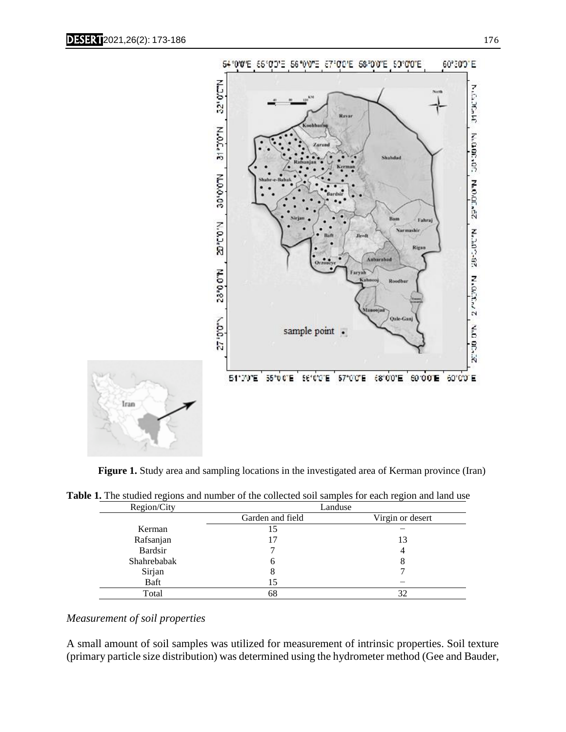

**Figure 1.** Study area and sampling locations in the investigated area of Kerman province (Iran)

| Region/City | Landuse          |                  |
|-------------|------------------|------------------|
|             | Garden and field | Virgin or desert |
| Kerman      |                  |                  |
| Rafsanjan   |                  | 13               |
| Bardsir     |                  | 4                |
| Shahrebabak | O                | δ                |
| Sirjan      | 8                |                  |
| Baft        |                  |                  |
| Total       | 68               | 32               |

**Table 1.** The studied regions and number of the collected soil samples for each region and land use

# *Measurement of soil properties*

A small amount of soil samples was utilized for measurement of intrinsic properties. Soil texture (primary particle size distribution) was determined using the hydrometer method (Gee and Bauder,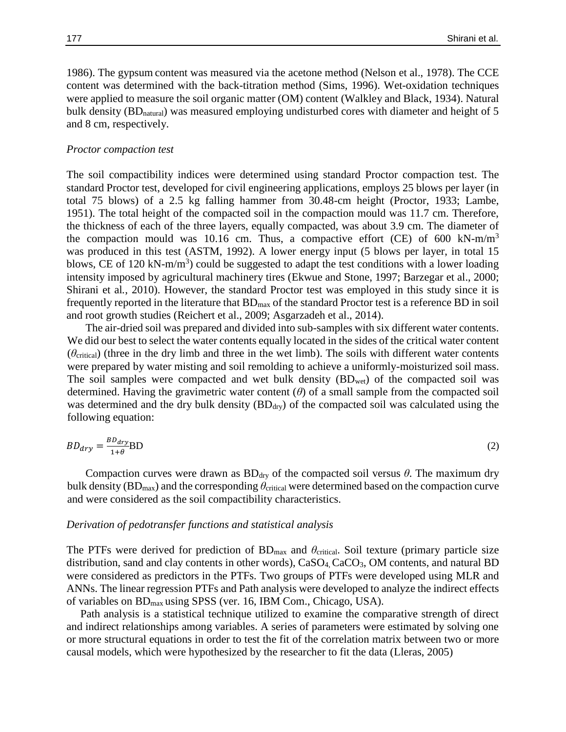1986). The gypsum content was measured via the acetone method (Nelson et al., 1978). The CCE content was determined with the back-titration method (Sims, 1996). Wet-oxidation techniques were applied to measure the soil organic matter (OM) content (Walkley and Black, 1934). Natural bulk density (BD<sub>natural</sub>) was measured employing undisturbed cores with diameter and height of 5 and 8 cm, respectively.

### *Proctor compaction test*

The soil compactibility indices were determined using standard Proctor compaction test. The standard Proctor test, developed for civil engineering applications, employs 25 blows per layer (in total 75 blows) of a 2.5 kg falling hammer from 30.48-cm height (Proctor, 1933; Lambe, 1951). The total height of the compacted soil in the compaction mould was 11.7 cm. Therefore, the thickness of each of the three layers, equally compacted, was about 3.9 cm. The diameter of the compaction mould was 10.16 cm. Thus, a compactive effort (CE) of 600 kN-m/m<sup>3</sup> was produced in this test (ASTM, 1992). A lower energy input (5 blows per layer, in total 15 blows, CE of 120 kN-m/m<sup>3</sup>) could be suggested to adapt the test conditions with a lower loading intensity imposed by agricultural machinery tires (Ekwue and Stone, 1997; Barzegar et al., 2000; Shirani et al*.*, 2010). However, the standard Proctor test was employed in this study since it is frequently reported in the literature that  $BD_{max}$  of the standard Proctor test is a reference BD in soil and root growth studies (Reichert et al., 2009; Asgarzadeh et al., 2014).

The air-dried soil was prepared and divided into sub-samples with six different water contents. We did our best to select the water contents equally located in the sides of the critical water content  $(\theta_{critical})$  (three in the dry limb and three in the wet limb). The soils with different water contents were prepared by water misting and soil remolding to achieve a uniformly-moisturized soil mass. The soil samples were compacted and wet bulk density  $(BD_{wet})$  of the compacted soil was determined. Having the gravimetric water content (*θ*) of a small sample from the compacted soil was determined and the dry bulk density  $(BD_{\text{dry}})$  of the compacted soil was calculated using the following equation:

$$
BD_{dry} = \frac{BD_{dry}}{1+\theta} BD
$$
 (2)

Compaction curves were drawn as  $BD<sub>dry</sub>$  of the compacted soil versus  $\theta$ . The maximum dry bulk density (BDmax) and the corresponding *θ*critical were determined based on the compaction curve and were considered as the soil compactibility characteristics.

#### *Derivation of pedotransfer functions and statistical analysis*

The PTFs were derived for prediction of  $BD_{max}$  and  $\theta_{critical}$ . Soil texture (primary particle size distribution, sand and clay contents in other words), CaSO<sub>4</sub>, CaCO<sub>3</sub>, OM contents, and natural BD were considered as predictors in the PTFs. Two groups of PTFs were developed using MLR and ANNs. The linear regression PTFs and Path analysis were developed to analyze the indirect effects of variables on BDmax using SPSS (ver. 16, IBM Com., Chicago, USA).

 Path analysis is a statistical technique utilized to examine the comparative strength of direct and indirect relationships among variables. A series of parameters were estimated by solving one or more structural equations in order to test the fit of the correlation matrix between two or more causal models, which were hypothesized by the researcher to fit the data (Lleras, 2005)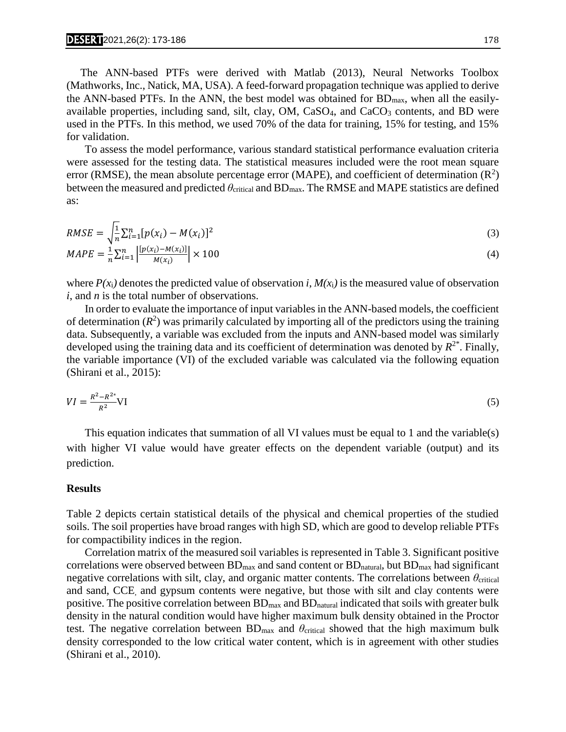$M(x_i)$ 

 The ANN-based PTFs were derived with Matlab (2013), Neural Networks Toolbox (Mathworks, Inc., Natick, MA, USA). A feed-forward propagation technique was applied to derive the ANN-based PTFs. In the ANN, the best model was obtained for BDmax, when all the easilyavailable properties, including sand, silt, clay,  $OM$ ,  $CaSO<sub>4</sub>$ , and  $CaCO<sub>3</sub>$  contents, and BD were used in the PTFs. In this method, we used 70% of the data for training, 15% for testing, and 15% for validation.

To assess the model performance, various standard statistical performance evaluation criteria were assessed for the testing data. The statistical measures included were the root mean square error (RMSE), the mean absolute percentage error (MAPE), and coefficient of determination  $(R^2)$ between the measured and predicted *θ*critical and BDmax. The RMSE and MAPE statistics are defined as:

RMSE = 
$$
\sqrt{\frac{1}{n} \sum_{i=1}^{n} [p(x_i) - M(x_i)]^2}
$$
  
MAPE = 
$$
\frac{1}{n} \sum_{i=1}^{n} \left| \frac{[p(x_i) - M(x_i)]}{M(x_i)} \right| \times 100
$$
 (4)

where  $P(x_i)$  denotes the predicted value of observation *i*,  $M(x_i)$  is the measured value of observation *i*, and *n* is the total number of observations.

In order to evaluate the importance of input variables in the ANN-based models, the coefficient of determination  $(R^2)$  was primarily calculated by importing all of the predictors using the training data. Subsequently, a variable was excluded from the inputs and ANN-based model was similarly developed using the training data and its coefficient of determination was denoted by *R* 2\*. Finally, the variable importance (VI) of the excluded variable was calculated via the following equation (Shirani et al., 2015):

$$
VI = \frac{R^2 - R^{2*}}{R^2} VI \tag{5}
$$

This equation indicates that summation of all VI values must be equal to 1 and the variable(s) with higher VI value would have greater effects on the dependent variable (output) and its prediction.

# **Results**

Table 2 depicts certain statistical details of the physical and chemical properties of the studied soils. The soil properties have broad ranges with high SD, which are good to develop reliable PTFs for compactibility indices in the region.

Correlation matrix of the measured soil variables is represented in Table 3. Significant positive correlations were observed between BD<sub>max</sub> and sand content or BD<sub>natural</sub>, but BD<sub>max</sub> had significant negative correlations with silt, clay, and organic matter contents. The correlations between  $\theta_{\rm critical}$ and sand, CCE, and gypsum contents were negative, but those with silt and clay contents were positive. The positive correlation between  $BD_{max}$  and  $BD_{natural}$  indicated that soils with greater bulk density in the natural condition would have higher maximum bulk density obtained in the Proctor test. The negative correlation between BD<sub>max</sub> and θ<sub>critical</sub> showed that the high maximum bulk density corresponded to the low critical water content, which is in agreement with other studies (Shirani et al., 2010).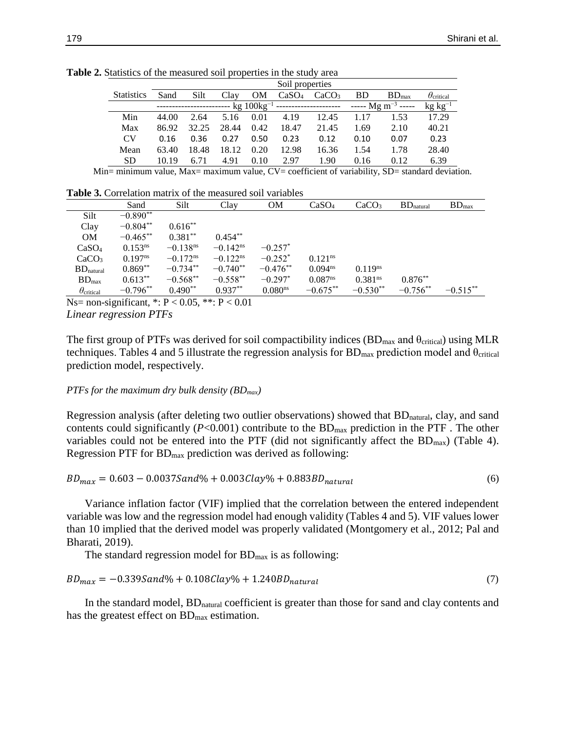|                   | Soil properties |       |       |           |                   |                   |           |                                                                                   |                         |
|-------------------|-----------------|-------|-------|-----------|-------------------|-------------------|-----------|-----------------------------------------------------------------------------------|-------------------------|
| <b>Statistics</b> | Sand            | Silt  | Clay  | <b>OM</b> | CaSO <sub>4</sub> | CaCO <sub>3</sub> | <b>BD</b> | $BD_{max}$                                                                        | $\theta_{\rm critical}$ |
|                   |                 |       |       |           |                   |                   |           | $-$ kg 100kg <sup>-1</sup> ----------------------- ----- Mg m <sup>-3</sup> ----- | $kg kg^{-1}$            |
| Min               | 44.00           | 2.64  | 5.16  | 0.01      | 4.19              | 12.45             | 1.17      | 1.53                                                                              | 17.29                   |
| Max               | 86.92           | 32.25 | 28.44 | 0.42      | 18.47             | 21.45             | 1.69      | 2.10                                                                              | 40.21                   |
| CV <sub></sub>    | 0.16            | 0.36  | 0.27  | 0.50      | 0.23              | 0.12              | 0.10      | 0.07                                                                              | 0.23                    |
| Mean              | 63.40           | 18.48 | 18.12 | 0.20      | 12.98             | 16.36             | 1.54      | 1.78                                                                              | 28.40                   |
| <b>SD</b>         | 10.19           | 6.71  | 4.91  | 0.10      | 2.97              | 1.90              | 0.16      | 0.12                                                                              | 6.39                    |

**Table 2.** Statistics of the measured soil properties in the study area

Min= minimum value, Max= maximum value, CV= coefficient of variability, SD= standard deviation.

**Table 3.** Correlation matrix of the measured soil variables

|                         | Sand         | Silt                   | Clay                   | <b>OM</b>             | CaSO <sub>4</sub>     | CaCO <sub>3</sub>     | $BD$ <sub>natural</sub> | $BD_{max}$  |
|-------------------------|--------------|------------------------|------------------------|-----------------------|-----------------------|-----------------------|-------------------------|-------------|
| Silt                    | $-0.890**$   |                        |                        |                       |                       |                       |                         |             |
| Clay                    | $-0.804**$   | $0.616***$             |                        |                       |                       |                       |                         |             |
| OM                      | $-0.465***$  | $0.381**$              | $0.454***$             |                       |                       |                       |                         |             |
| CaSO <sub>4</sub>       | $0.153^{ns}$ | $-0.138$ <sup>ns</sup> | $-0.142$ <sup>ns</sup> | $-0.257^*$            |                       |                       |                         |             |
| CaCO <sub>3</sub>       | $0.197^{ns}$ | $-0.172$ <sup>ns</sup> | $-0.122$ <sup>ns</sup> | $-0.252$ <sup>*</sup> | $0.121$ <sup>ns</sup> |                       |                         |             |
| $BD$ <sub>natural</sub> | $0.869**$    | $-0.734**$             | $-0.740**$             | $-0.476**$            | $0.094^{ns}$          | $0.119^{ns}$          |                         |             |
| $BD_{max}$              | $0.613***$   | $-0.568**$             | $-0.558**$             | $-0.297*$             | 0.087 <sup>ns</sup>   | $0.381$ <sup>ns</sup> | $0.876***$              |             |
| $\theta_{\rm critical}$ | $-0.796**$   | $0.490**$              | $0.937**$              | 0.080 <sup>ns</sup>   | $-0.675**$            | $-0.530**$            | $-0.756**$              | $-0.515***$ |

Ns= non-significant,  $*$ :  $P < 0.05$ ,  $*$  $*$ :  $P < 0.01$ *Linear regression PTFs*

The first group of PTFs was derived for soil compactibility indices  $(BD_{max}$  and  $\theta_{critical})$  using MLR techniques. Tables 4 and 5 illustrate the regression analysis for  $BD_{max}$  prediction model and  $\theta_{critical}$ prediction model, respectively.

#### *PTFs for the maximum dry bulk density (BDmax)*

Regression analysis (after deleting two outlier observations) showed that  $BD<sub>natural</sub>$ , clay, and sand contents could significantly  $(P<0.001)$  contribute to the  $BD<sub>max</sub>$  prediction in the PTF. The other variables could not be entered into the PTF (did not significantly affect the  $BD_{max}$ ) (Table 4). Regression PTF for BDmax prediction was derived as following:

$$
BD_{max} = 0.603 - 0.00375 \text{ and } 0.003 \text{ Clay\%} + 0.883 BD_{natural} \tag{6}
$$

Variance inflation factor (VIF) implied that the correlation between the entered independent variable was low and the regression model had enough validity (Tables 4 and 5). VIF values lower than 10 implied that the derived model was properly validated (Montgomery et al., 2012; Pal and Bharati, 2019).

The standard regression model for  $BD_{max}$  is as following:

$$
BD_{max} = -0.339 Sand\% + 0.108 Clay\% + 1.240BD_{natural}
$$
\n(7)

In the standard model, BD<sub>natural</sub> coefficient is greater than those for sand and clay contents and has the greatest effect on BD<sub>max</sub> estimation.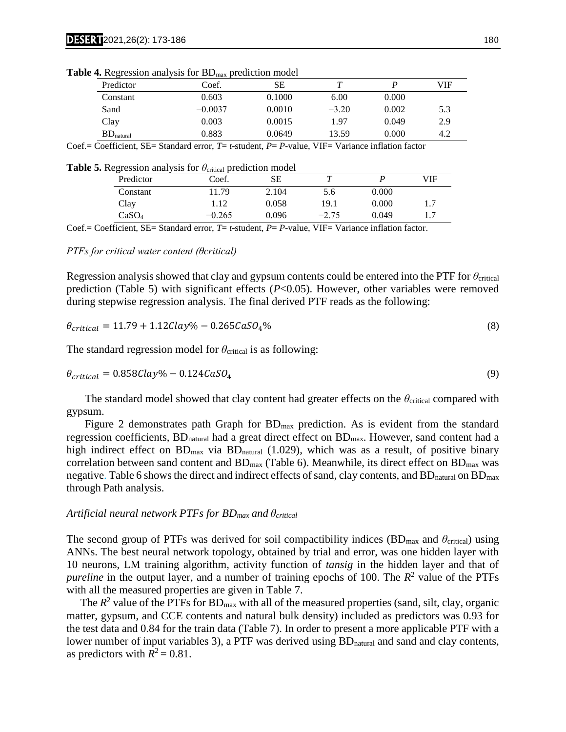|                         | $ \cdots$ |        |         |       |     |
|-------------------------|-----------|--------|---------|-------|-----|
| Predictor               | Coef.     | SЕ     |         |       | VIF |
| Constant                | 0.603     | 0.1000 | 6.00    | 0.000 |     |
| Sand                    | $-0.0037$ | 0.0010 | $-3.20$ | 0.002 | 5.3 |
| Clay                    | 0.003     | 0.0015 | 1.97    | 0.049 | 2.9 |
| $BD$ <sub>natural</sub> | 0.883     | 0.0649 | 13.59   | 0.000 | 4.2 |

**Table 4.** Regression analysis for BD<sub>max</sub> prediction model

Coef.= Coefficient, SE= Standard error, *T*= *t*-student, *P*= *P*-value, VIF= Variance inflation factor

| Predictor | Coef.    |       |                                                                                 |       | VIF |
|-----------|----------|-------|---------------------------------------------------------------------------------|-------|-----|
| Constant  | 11.79    | 2.104 | 5.6                                                                             | 0.000 |     |
| Clay      | 1.12     | 0.058 | 19.1                                                                            | 0.000 |     |
| CaSO4     | $-0.265$ | 0.096 | $-2.75$                                                                         | 0.049 |     |
|           |          |       | $\mu$ $\sigma$ . Regression analysis for $v_{\text{critical}}$ prediction model |       |     |

**Table 5.** Regression analysis for *θ*<sub>critical</sub> prediction model

Coef.= Coefficient, SE= Standard error, *T*= *t*-student, *P*= *P*-value, VIF= Variance inflation factor.

*PTFs for critical water content (θcritical)*

Regression analysis showed that clay and gypsum contents could be entered into the PTF for *θ*critical prediction (Table 5) with significant effects (*P*<0.05). However, other variables were removed during stepwise regression analysis. The final derived PTF reads as the following:

$$
\theta_{critical} = 11.79 + 1.12 \, \text{clay\%} - 0.265 \, \text{CaSO}_4\% \tag{8}
$$

The standard regression model for  $\theta_{critical}$  is as following:

$$
\theta_{critical} = 0.858Clay\% - 0.124CaSO_4\tag{9}
$$

The standard model showed that clay content had greater effects on the *θ*critical compared with gypsum.

Figure 2 demonstrates path Graph for  $BD<sub>max</sub>$  prediction. As is evident from the standard regression coefficients, BD<sub>natural</sub> had a great direct effect on BD<sub>max</sub>. However, sand content had a high indirect effect on  $BD_{max}$  via  $BD_{natural}$  (1.029), which was as a result, of positive binary correlation between sand content and  $BD_{max}$  (Table 6). Meanwhile, its direct effect on  $BD_{max}$  was negative. Table 6 shows the direct and indirect effects of sand, clay contents, and  $BD<sub>natural</sub>$  on  $BD<sub>max</sub>$ through Path analysis.

#### *Artificial neural network PTFs for BDmax and θcritical*

The second group of PTFs was derived for soil compactibility indices  $(BD_{max}$  and  $\theta_{critical}$ ) using ANNs. The best neural network topology, obtained by trial and error, was one hidden layer with 10 neurons, LM training algorithm, activity function of *tansig* in the hidden layer and that of *pureline* in the output layer, and a number of training epochs of 100. The  $R^2$  value of the PTFs with all the measured properties are given in Table 7.

The  $R^2$  value of the PTFs for  $BD_{max}$  with all of the measured properties (sand, silt, clay, organic matter, gypsum, and CCE contents and natural bulk density) included as predictors was 0.93 for the test data and 0.84 for the train data (Table 7). In order to present a more applicable PTF with a lower number of input variables 3), a PTF was derived using BD<sub>natural</sub> and sand and clay contents, as predictors with  $R^2 = 0.81$ .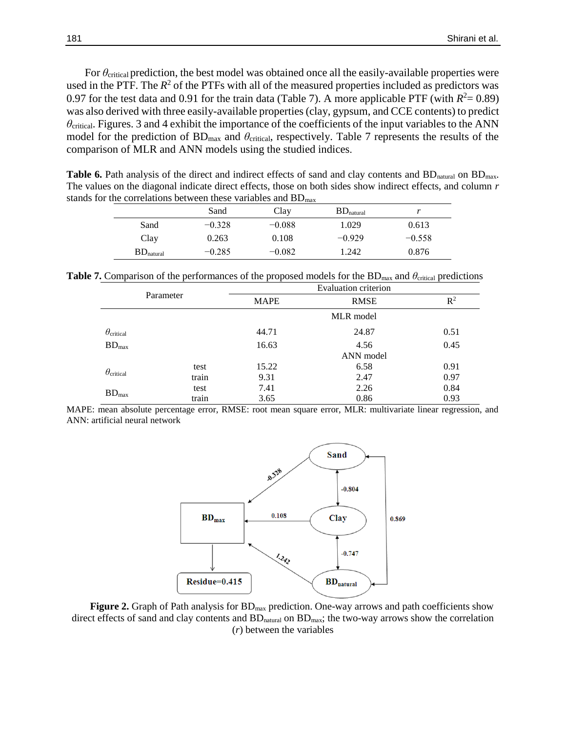For *θ*critical prediction, the best model was obtained once all the easily-available properties were used in the PTF. The  $R^2$  of the PTFs with all of the measured properties included as predictors was 0.97 for the test data and 0.91 for the train data (Table 7). A more applicable PTF (with  $R^2 = 0.89$ ) was also derived with three easily-available properties (clay, gypsum, and CCE contents) to predict *θ*critical. Figures. 3 and 4 exhibit the importance of the coefficients of the input variables to the ANN model for the prediction of BD<sub>max</sub> and *θ*<sub>critical</sub>, respectively. Table 7 represents the results of the comparison of MLR and ANN models using the studied indices.

**Table 6.** Path analysis of the direct and indirect effects of sand and clay contents and BD<sub>natural</sub> on BD<sub>max</sub>. The values on the diagonal indicate direct effects, those on both sides show indirect effects, and column *r* stands for the correlations between these variables and BD<sub>max</sub>

|                         | Sand     | Clay     | $BD_{natural}$ |          |
|-------------------------|----------|----------|----------------|----------|
| Sand                    | $-0.328$ | $-0.088$ | 1.029          | 0.613    |
| Clay                    | 0.263    | 0.108    | $-0.929$       | $-0.558$ |
| $BD$ <sub>natural</sub> | $-0.285$ | $-0.082$ | 1.242          | 0.876    |

**Table 7.** Comparison of the performances of the proposed models for the  $BD_{\text{max}}$  and  $\theta_{\text{critical}}$  predictions

| Parameter               |       |             | Evaluation criterion |                |
|-------------------------|-------|-------------|----------------------|----------------|
|                         |       | <b>MAPE</b> | <b>RMSE</b>          | $\mathbb{R}^2$ |
|                         |       |             | MLR model            |                |
| $\theta_{\rm critical}$ |       | 44.71       | 24.87                | 0.51           |
| $BD_{max}$              |       | 16.63       | 4.56                 | 0.45           |
|                         |       |             | ANN model            |                |
|                         | test  | 15.22       | 6.58                 | 0.91           |
| $\theta_{\rm critical}$ | train | 9.31        | 2.47                 | 0.97           |
|                         | test  | 7.41        | 2.26                 | 0.84           |
| $BD_{max}$              | train | 3.65        | 0.86                 | 0.93           |

MAPE: mean absolute percentage error, RMSE: root mean square error, MLR: multivariate linear regression, and ANN: artificial neural network



**Figure 2.** Graph of Path analysis for BD<sub>max</sub> prediction. One-way arrows and path coefficients show direct effects of sand and clay contents and BD<sub>natural</sub> on BD<sub>max</sub>; the two-way arrows show the correlation (*r*) between the variables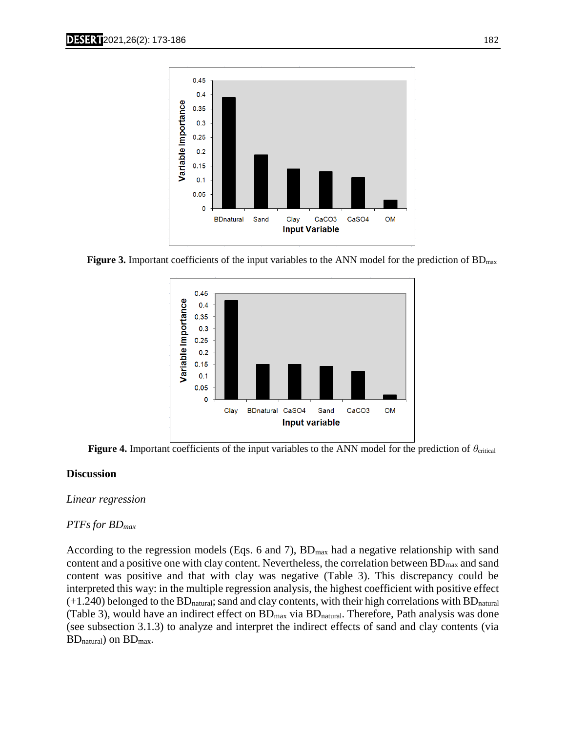

**Figure 3.** Important coefficients of the input variables to the ANN model for the prediction of BDmax



**Figure 4.** Important coefficients of the input variables to the ANN model for the prediction of *θ*critical

# **Discussion**

# *Linear regression*

# *PTFs for BDmax*

According to the regression models (Eqs. 6 and 7),  $BD_{max}$  had a negative relationship with sand content and a positive one with clay content. Nevertheless, the correlation between  $BD_{max}$  and sand content was positive and that with clay was negative (Table 3). This discrepancy could be interpreted this way: in the multiple regression analysis, the highest coefficient with positive effect  $(+1.240)$  belonged to the BD<sub>natural</sub>; sand and clay contents, with their high correlations with BD<sub>natural</sub> (Table 3), would have an indirect effect on  $BD_{max}$  via  $BD_{natural}$ . Therefore, Path analysis was done (see subsection 3.1.3) to analyze and interpret the indirect effects of sand and clay contents (via BDnatural) on BDmax.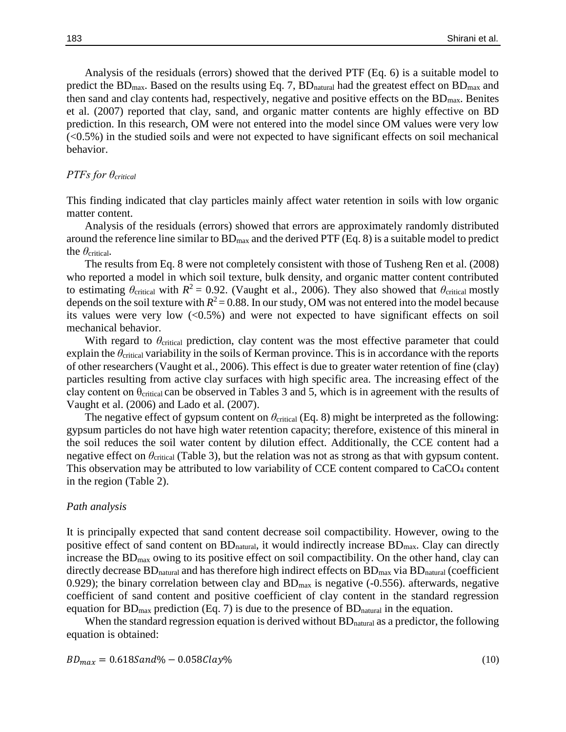Analysis of the residuals (errors) showed that the derived PTF (Eq. 6) is a suitable model to predict the  $BD_{max}$ . Based on the results using Eq. 7,  $BD_{natural}$  had the greatest effect on  $BD_{max}$  and then sand and clay contents had, respectively, negative and positive effects on the  $BD<sub>max</sub>$ . Benites et al. (2007) reported that clay, sand, and organic matter contents are highly effective on BD prediction. In this research, OM were not entered into the model since OM values were very low (<0.5%) in the studied soils and were not expected to have significant effects on soil mechanical behavior.

# *PTFs for θcritical*

This finding indicated that clay particles mainly affect water retention in soils with low organic matter content.

Analysis of the residuals (errors) showed that errors are approximately randomly distributed around the reference line similar to  $BD_{max}$  and the derived PTF (Eq. 8) is a suitable model to predict the *θ*critical.

The results from Eq. 8 were not completely consistent with those of Tusheng Ren et al. (2008) who reported a model in which soil texture, bulk density, and organic matter content contributed to estimating  $\theta_{critical}$  with  $R^2 = 0.92$ . (Vaught et al., 2006). They also showed that  $\theta_{critical}$  mostly depends on the soil texture with  $R^2 = 0.88$ . In our study, OM was not entered into the model because its values were very low  $\langle 0.5\% \rangle$  and were not expected to have significant effects on soil mechanical behavior.

With regard to *θ*critical prediction, clay content was the most effective parameter that could explain the  $\theta_{\text{critical}}$  variability in the soils of Kerman province. This is in accordance with the reports of other researchers (Vaught et al*.*, 2006). This effect is due to greater water retention of fine (clay) particles resulting from active clay surfaces with high specific area. The increasing effect of the clay content on  $\theta_{critical}$  can be observed in Tables 3 and 5, which is in agreement with the results of Vaught et al. (2006) and Lado et al. (2007).

The negative effect of gypsum content on  $\theta_{critical}$  (Eq. 8) might be interpreted as the following: gypsum particles do not have high water retention capacity; therefore, existence of this mineral in the soil reduces the soil water content by dilution effect. Additionally, the CCE content had a negative effect on  $\theta_{\text{critical}}$  (Table 3), but the relation was not as strong as that with gypsum content. This observation may be attributed to low variability of CCE content compared to CaCO<sup>4</sup> content in the region (Table 2).

# *Path analysis*

It is principally expected that sand content decrease soil compactibility. However, owing to the positive effect of sand content on BD<sub>natural</sub>, it would indirectly increase BD<sub>max</sub>. Clay can directly increase the  $BD<sub>max</sub>$  owing to its positive effect on soil compactibility. On the other hand, clay can directly decrease  $BD$ <sub>natural</sub> and has therefore high indirect effects on  $BD$ <sub>max</sub> via  $BD$ <sub>natural</sub> (coefficient 0.929); the binary correlation between clay and  $BD<sub>max</sub>$  is negative (-0.556). afterwards, negative coefficient of sand content and positive coefficient of clay content in the standard regression equation for  $BD_{\text{max}}$  prediction (Eq. 7) is due to the presence of  $BD_{\text{natural}}$  in the equation.

When the standard regression equation is derived without  $BD<sub>natural</sub>$  as a predictor, the following equation is obtained:

$$
BD_{max} = 0.6185 \text{ and } 0.058 \text{ Clay} \%
$$
\n<sup>(10)</sup>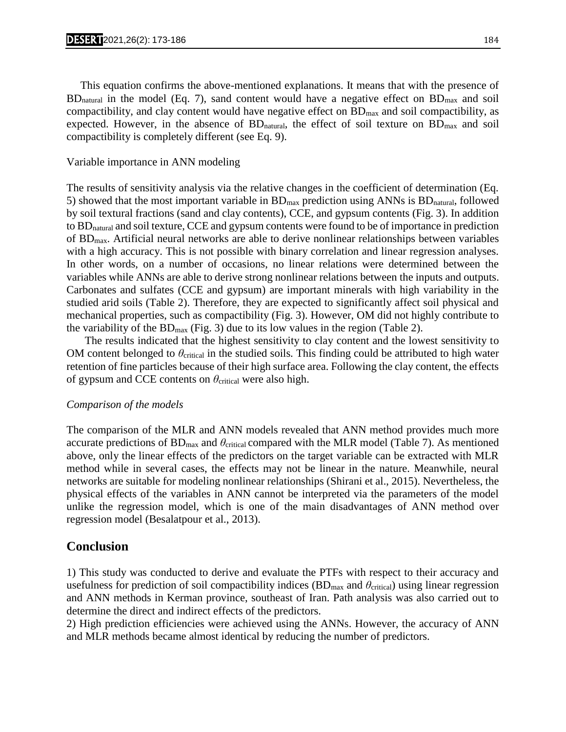This equation confirms the above-mentioned explanations. It means that with the presence of  $BD<sub>natural</sub>$  in the model (Eq. 7), sand content would have a negative effect on  $BD<sub>max</sub>$  and soil compactibility, and clay content would have negative effect on  $BD_{max}$  and soil compactibility, as expected. However, in the absence of  $BD<sub>natural</sub>$ , the effect of soil texture on  $BD<sub>max</sub>$  and soil compactibility is completely different (see Eq. 9).

# Variable importance in ANN modeling

The results of sensitivity analysis via the relative changes in the coefficient of determination (Eq. 5) showed that the most important variable in  $BD_{max}$  prediction using ANNs is  $BD_{natural}$ , followed by soil textural fractions (sand and clay contents), CCE, and gypsum contents (Fig. 3). In addition to BDnatural and soil texture, CCE and gypsum contents were found to be of importance in prediction of BDmax. Artificial neural networks are able to derive nonlinear relationships between variables with a high accuracy. This is not possible with binary correlation and linear regression analyses. In other words, on a number of occasions, no linear relations were determined between the variables while ANNs are able to derive strong nonlinear relations between the inputs and outputs. Carbonates and sulfates (CCE and gypsum) are important minerals with high variability in the studied arid soils (Table 2). Therefore, they are expected to significantly affect soil physical and mechanical properties, such as compactibility (Fig. 3). However, OM did not highly contribute to the variability of the  $BD_{max}$  (Fig. 3) due to its low values in the region (Table 2).

The results indicated that the highest sensitivity to clay content and the lowest sensitivity to OM content belonged to *θ*critical in the studied soils. This finding could be attributed to high water retention of fine particles because of their high surface area. Following the clay content, the effects of gypsum and CCE contents on  $\theta_{critical}$  were also high.

# *Comparison of the models*

The comparison of the MLR and ANN models revealed that ANN method provides much more accurate predictions of  $BD_{\text{max}}$  and  $\theta_{\text{critical}}$  compared with the MLR model (Table 7). As mentioned above, only the linear effects of the predictors on the target variable can be extracted with MLR method while in several cases, the effects may not be linear in the nature. Meanwhile, neural networks are suitable for modeling nonlinear relationships (Shirani et al., 2015). Nevertheless, the physical effects of the variables in ANN cannot be interpreted via the parameters of the model unlike the regression model, which is one of the main disadvantages of ANN method over regression model (Besalatpour et al., 2013).

# **Conclusion**

1) This study was conducted to derive and evaluate the PTFs with respect to their accuracy and usefulness for prediction of soil compactibility indices  $(BD<sub>max</sub>$  and  $\theta<sub>critical</sub>$ ) using linear regression and ANN methods in Kerman province, southeast of Iran. Path analysis was also carried out to determine the direct and indirect effects of the predictors.

2) High prediction efficiencies were achieved using the ANNs. However, the accuracy of ANN and MLR methods became almost identical by reducing the number of predictors.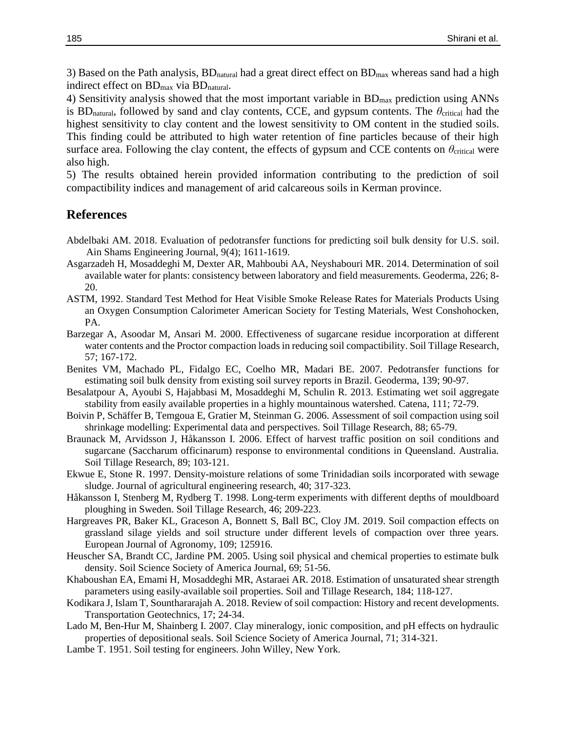3) Based on the Path analysis,  $BD$ <sub>natural</sub> had a great direct effect on  $BD$ <sub>max</sub> whereas sand had a high indirect effect on BD<sub>max</sub> via BD<sub>natural</sub>.

4) Sensitivity analysis showed that the most important variable in  $BD<sub>max</sub>$  prediction using ANNs is BD<sub>natural</sub>, followed by sand and clay contents, CCE, and gypsum contents. The  $\theta_{\text{critical}}$  had the highest sensitivity to clay content and the lowest sensitivity to OM content in the studied soils. This finding could be attributed to high water retention of fine particles because of their high surface area. Following the clay content, the effects of gypsum and CCE contents on  $\theta_{\text{critical}}$  were also high.

5) The results obtained herein provided information contributing to the prediction of soil compactibility indices and management of arid calcareous soils in Kerman province.

# **References**

- Abdelbaki AM. 2018. Evaluation of pedotransfer functions for predicting soil bulk density for U.S. soil. Ain Shams Engineering Journal, 9(4); 1611-1619.
- Asgarzadeh H, Mosaddeghi M, Dexter AR, Mahboubi AA, Neyshabouri MR. 2014. Determination of soil available water for plants: consistency between laboratory and field measurements. Geoderma, 226; 8- 20.
- ASTM, 1992. Standard Test Method for Heat Visible Smoke Release Rates for Materials Products Using an Oxygen Consumption Calorimeter American Society for Testing Materials, West Conshohocken, PA.
- Barzegar A, Asoodar M, Ansari M. 2000. Effectiveness of sugarcane residue incorporation at different water contents and the Proctor compaction loads in reducing soil compactibility. Soil Tillage Research, 57; 167-172.
- Benites VM, Machado PL, Fidalgo EC, Coelho MR, Madari BE. 2007. Pedotransfer functions for estimating soil bulk density from existing soil survey reports in Brazil. Geoderma, 139; 90-97.
- Besalatpour A, Ayoubi S, Hajabbasi M, Mosaddeghi M, Schulin R. 2013. Estimating wet soil aggregate stability from easily available properties in a highly mountainous watershed. Catena, 111; 72-79.
- Boivin P, Schäffer B, Temgoua E, Gratier M, Steinman G. 2006. Assessment of soil compaction using soil shrinkage modelling: Experimental data and perspectives. Soil Tillage Research, 88; 65-79.
- Braunack M, Arvidsson J, Håkansson I. 2006. Effect of harvest traffic position on soil conditions and sugarcane (Saccharum officinarum) response to environmental conditions in Queensland. Australia. Soil Tillage Research, 89; 103-121.
- Ekwue E, Stone R. 1997. Density-moisture relations of some Trinidadian soils incorporated with sewage sludge. Journal of agricultural engineering research, 40; 317-323.
- Håkansson I, Stenberg M, Rydberg T. 1998. Long-term experiments with different depths of mouldboard ploughing in Sweden. Soil Tillage Research, 46; 209-223.
- Hargreaves PR, Baker KL, Graceson A, Bonnett S, Ball BC, Cloy JM. 2019. Soil compaction effects on grassland silage yields and soil structure under different levels of compaction over three years. European Journal of Agronomy, 109; 125916.
- Heuscher SA, Brandt CC, Jardine PM. 2005. Using soil physical and chemical properties to estimate bulk density. Soil Science Society of America Journal, 69; 51-56.
- Khaboushan EA, Emami H, Mosaddeghi MR, Astaraei AR. 2018. Estimation of unsaturated shear strength parameters using easily-available soil properties. Soil and Tillage Research, 184; 118-127.
- Kodikara J, Islam T, Sounthararajah A. 2018. Review of soil compaction: History and recent developments. Transportation Geotechnics, 17; 24-34.
- Lado M, Ben-Hur M, Shainberg I. 2007. Clay mineralogy, ionic composition, and pH effects on hydraulic properties of depositional seals. Soil Science Society of America Journal, 71; 314-321.
- Lambe T. 1951. Soil testing for engineers. John Willey, New York.